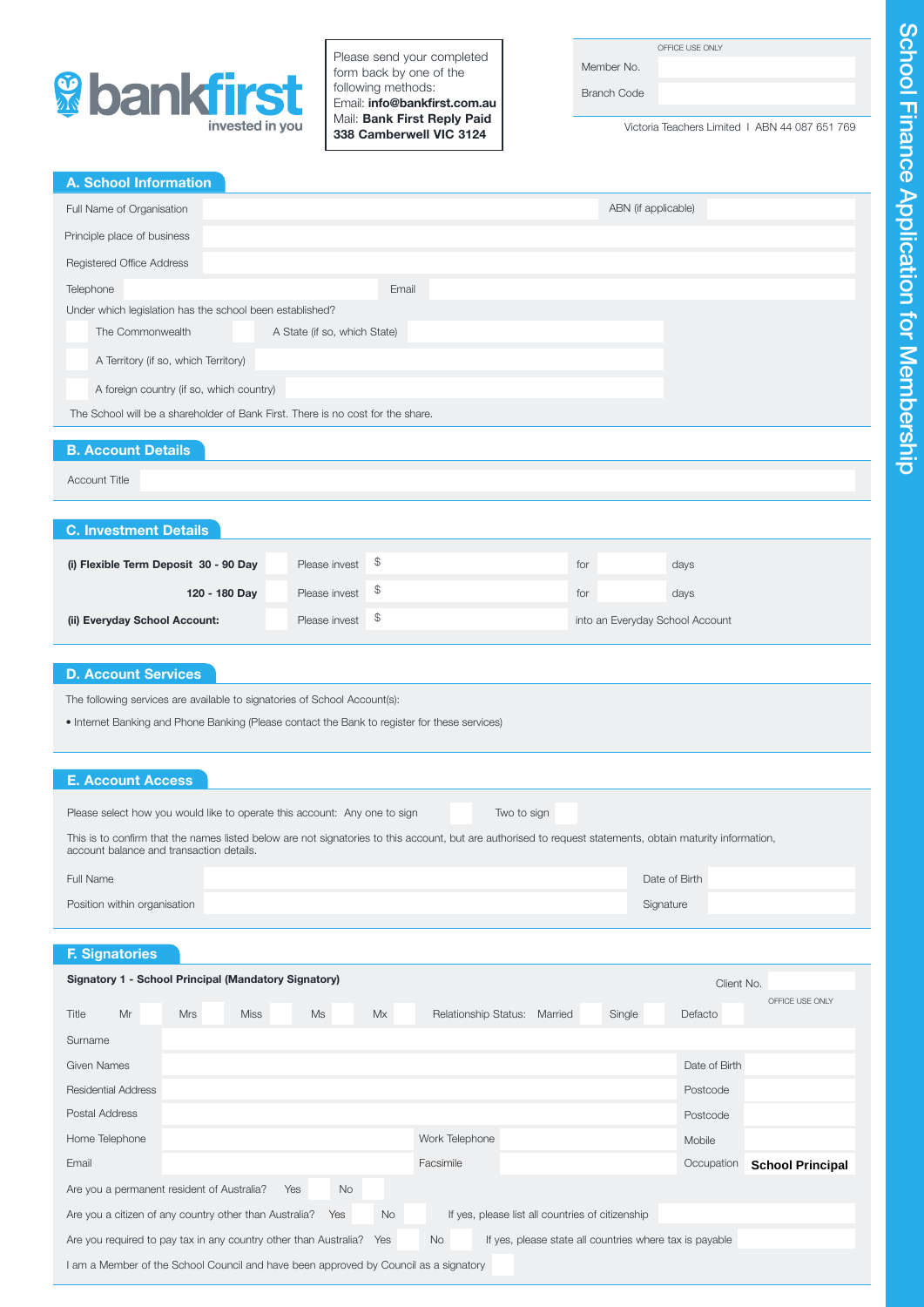

Please send your completed form back by one of the following methods: Email: info@bankfirst.com.au Mail: Bank First Reply Paid 338 Camberwell VIC 3124

Member No. Branch Code

Victoria Teachers Limited I ABN 44 087 651 769

| Full Name of Organisation                                                                                                                                  |                                                 | ABN (if applicable)                              |                 |
|------------------------------------------------------------------------------------------------------------------------------------------------------------|-------------------------------------------------|--------------------------------------------------|-----------------|
| Principle place of business                                                                                                                                |                                                 |                                                  |                 |
| Registered Office Address                                                                                                                                  |                                                 |                                                  |                 |
| Telephone                                                                                                                                                  | Email                                           |                                                  |                 |
| Under which legislation has the school been established?                                                                                                   |                                                 |                                                  |                 |
| The Commonwealth                                                                                                                                           | A State (if so, which State)                    |                                                  |                 |
| A Territory (if so, which Territory)                                                                                                                       |                                                 |                                                  |                 |
| A foreign country (if so, which country)                                                                                                                   |                                                 |                                                  |                 |
| The School will be a shareholder of Bank First. There is no cost for the share.                                                                            |                                                 |                                                  |                 |
| <b>B. Account Details</b>                                                                                                                                  |                                                 |                                                  |                 |
| <b>Account Title</b>                                                                                                                                       |                                                 |                                                  |                 |
|                                                                                                                                                            |                                                 |                                                  |                 |
| <b>C. Investment Details</b>                                                                                                                               |                                                 |                                                  |                 |
|                                                                                                                                                            | \$<br>Please invest                             |                                                  |                 |
| (i) Flexible Term Deposit 30 - 90 Day                                                                                                                      |                                                 | for<br>days                                      |                 |
| 120 - 180 Day                                                                                                                                              | \$<br>Please invest                             | for<br>days                                      |                 |
| (ii) Everyday School Account:                                                                                                                              | \$<br>Please invest                             | into an Everyday School Account                  |                 |
| <b>E. Account Access</b>                                                                                                                                   |                                                 |                                                  |                 |
| Please select how you would like to operate this account: Any one to sign                                                                                  | Two to sign                                     |                                                  |                 |
|                                                                                                                                                            |                                                 |                                                  |                 |
| This is to confirm that the names listed below are not signatories to this account, but are authorised to request statements, obtain maturity information, |                                                 |                                                  |                 |
| account balance and transaction details.                                                                                                                   |                                                 |                                                  |                 |
| Full Name                                                                                                                                                  |                                                 | Date of Birth                                    |                 |
| Position within organisation                                                                                                                               |                                                 | Signature                                        |                 |
|                                                                                                                                                            |                                                 |                                                  |                 |
| <b>F.</b> Signatories<br>Signatory 1 - School Principal (Mandatory Signatory)                                                                              |                                                 | Client No.                                       |                 |
|                                                                                                                                                            |                                                 |                                                  | OFFICE USE ONLY |
| Title<br>Mr<br><b>Mrs</b><br><b>Miss</b>                                                                                                                   | <b>Ms</b><br>Mx<br>Relationship Status: Married | Single<br>Defacto                                |                 |
| Surname                                                                                                                                                    |                                                 |                                                  |                 |
| Given Names                                                                                                                                                |                                                 | Date of Birth                                    |                 |
| <b>Residential Address</b>                                                                                                                                 |                                                 | Postcode                                         |                 |
| Postal Address                                                                                                                                             |                                                 | Postcode                                         |                 |
| Home Telephone                                                                                                                                             | Work Telephone                                  | Mobile                                           |                 |
| Email                                                                                                                                                      | Facsimile                                       | Occupation<br><b>School Principal</b>            |                 |
| Are you a permanent resident of Australia?<br>Are you a citizen of any country other than Australia?                                                       | <b>No</b><br>Yes<br><b>No</b><br>Yes            | If yes, please list all countries of citizenship |                 |

I am a Member of the School Council and have been approved by Council as a signatory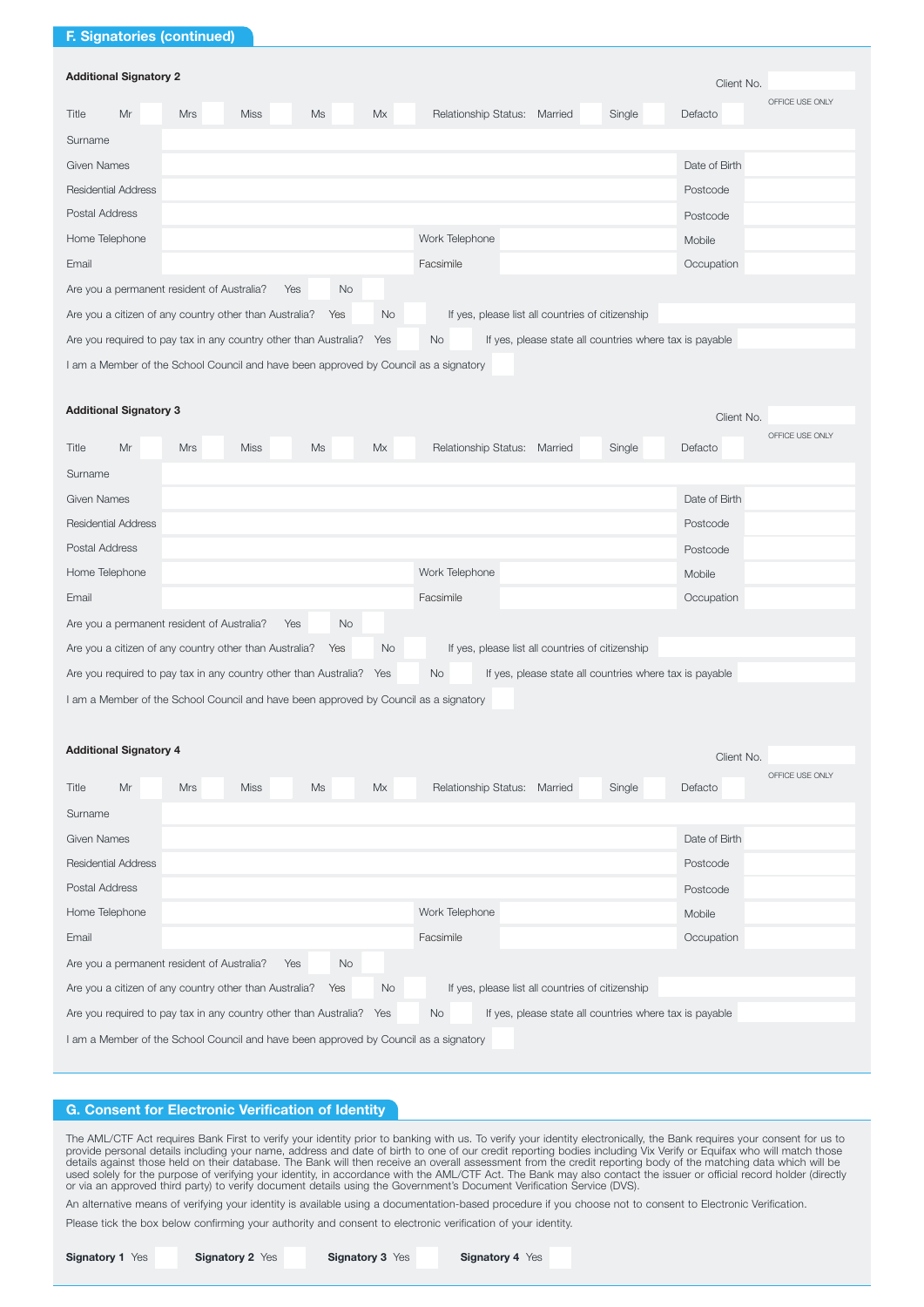# F. Signatories (continued)

| <b>Additional Signatory 2</b><br>Client No.                                                                                                  |            |             |    |    |                                        |        |               |                 |
|----------------------------------------------------------------------------------------------------------------------------------------------|------------|-------------|----|----|----------------------------------------|--------|---------------|-----------------|
| Mr<br>Title                                                                                                                                  | <b>Mrs</b> | <b>Miss</b> | Ms | Mx | <b>Relationship Status:</b><br>Married | Single | Defacto       | OFFICE USE ONLY |
| Surname                                                                                                                                      |            |             |    |    |                                        |        |               |                 |
| Given Names                                                                                                                                  |            |             |    |    |                                        |        | Date of Birth |                 |
| <b>Residential Address</b>                                                                                                                   |            |             |    |    |                                        |        | Postcode      |                 |
| Postal Address                                                                                                                               |            |             |    |    |                                        |        | Postcode      |                 |
| Home Telephone                                                                                                                               |            |             |    |    | Work Telephone                         |        | Mobile        |                 |
| Email                                                                                                                                        |            |             |    |    | Facsimile                              |        | Occupation    |                 |
| No<br>Are you a permanent resident of Australia?<br>Yes                                                                                      |            |             |    |    |                                        |        |               |                 |
| <b>No</b><br>Are you a citizen of any country other than Australia?<br>If yes, please list all countries of citizenship<br>Yes               |            |             |    |    |                                        |        |               |                 |
| Are you required to pay tax in any country other than Australia? Yes<br><b>No</b><br>If yes, please state all countries where tax is payable |            |             |    |    |                                        |        |               |                 |
| I am a Member of the School Council and have been approved by Council as a signatory                                                         |            |             |    |    |                                        |        |               |                 |

| <b>Additional Signatory 3</b><br>Client No.                                                                                                  |            |             |    |    |                              |  |  |        |               |                 |
|----------------------------------------------------------------------------------------------------------------------------------------------|------------|-------------|----|----|------------------------------|--|--|--------|---------------|-----------------|
| Mr<br>Title                                                                                                                                  | <b>Mrs</b> | <b>Miss</b> | Ms | Mx | Relationship Status: Married |  |  | Single | Defacto       | OFFICE USE ONLY |
| Surname                                                                                                                                      |            |             |    |    |                              |  |  |        |               |                 |
| Given Names                                                                                                                                  |            |             |    |    |                              |  |  |        | Date of Birth |                 |
| <b>Residential Address</b>                                                                                                                   |            |             |    |    |                              |  |  |        | Postcode      |                 |
| Postal Address<br>Postcode                                                                                                                   |            |             |    |    |                              |  |  |        |               |                 |
| Home Telephone                                                                                                                               |            |             |    |    | Work Telephone               |  |  |        | Mobile        |                 |
| Email                                                                                                                                        |            |             |    |    | Facsimile                    |  |  |        | Occupation    |                 |
| <b>No</b><br>Are you a permanent resident of Australia?<br>Yes                                                                               |            |             |    |    |                              |  |  |        |               |                 |
| <b>No</b><br>Are you a citizen of any country other than Australia?<br>If yes, please list all countries of citizenship<br>Yes               |            |             |    |    |                              |  |  |        |               |                 |
| <b>No</b><br>If yes, please state all countries where tax is payable<br>Are you required to pay tax in any country other than Australia? Yes |            |             |    |    |                              |  |  |        |               |                 |
| I am a Member of the School Council and have been approved by Council as a signatory                                                         |            |             |    |    |                              |  |  |        |               |                 |

| <b>Additional Signatory 4</b><br>Client No.                                                                                                  |                         |             |    |    |                              |        |                            |  |
|----------------------------------------------------------------------------------------------------------------------------------------------|-------------------------|-------------|----|----|------------------------------|--------|----------------------------|--|
| Mr<br>Title                                                                                                                                  | <b>Mrs</b>              | <b>Miss</b> | Ms | Mx | Relationship Status: Married | Single | OFFICE USE ONLY<br>Defacto |  |
| Surname                                                                                                                                      |                         |             |    |    |                              |        |                            |  |
| Given Names                                                                                                                                  |                         |             |    |    |                              |        | Date of Birth              |  |
| <b>Residential Address</b>                                                                                                                   |                         |             |    |    |                              |        | Postcode                   |  |
| Postal Address<br>Postcode                                                                                                                   |                         |             |    |    |                              |        |                            |  |
| Work Telephone<br>Home Telephone<br>Mobile                                                                                                   |                         |             |    |    |                              |        |                            |  |
| Email                                                                                                                                        | Facsimile<br>Occupation |             |    |    |                              |        |                            |  |
| <b>No</b><br>Are you a permanent resident of Australia?<br>Yes                                                                               |                         |             |    |    |                              |        |                            |  |
| <b>No</b><br>Are you a citizen of any country other than Australia?<br>If yes, please list all countries of citizenship<br>Yes               |                         |             |    |    |                              |        |                            |  |
| If yes, please state all countries where tax is payable<br>Are you required to pay tax in any country other than Australia? Yes<br><b>No</b> |                         |             |    |    |                              |        |                            |  |
| I am a Member of the School Council and have been approved by Council as a signatory                                                         |                         |             |    |    |                              |        |                            |  |

# G. Consent for Electronic Verification of Identity

The AML/CTF Act requires Bank First to verify your identity prior to banking with us. To verify your identity electronically, the Bank requires your consent for us to<br>provide personal details including your name, address a

An alternative means of verifying your identity is available using a documentation-based procedure if you choose not to consent to Electronic Verification.

Please tick the box below confirming your authority and consent to electronic verification of your identity.